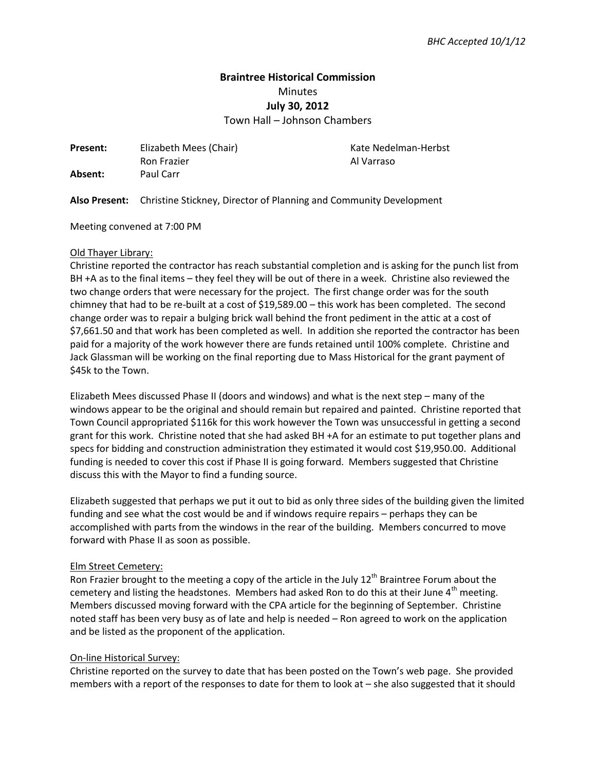# **Braintree Historical Commission**  Minutes **July 30, 2012**

Town Hall – Johnson Chambers

**Present:** Elizabeth Mees (Chair) **Kate Nedelman-Herbst** Ron Frazier **Al Varraso Absent:** Paul Carr

**Also Present:** Christine Stickney, Director of Planning and Community Development

Meeting convened at 7:00 PM

#### Old Thayer Library:

Christine reported the contractor has reach substantial completion and is asking for the punch list from BH +A as to the final items – they feel they will be out of there in a week. Christine also reviewed the two change orders that were necessary for the project. The first change order was for the south chimney that had to be re-built at a cost of \$19,589.00 – this work has been completed. The second change order was to repair a bulging brick wall behind the front pediment in the attic at a cost of \$7,661.50 and that work has been completed as well. In addition she reported the contractor has been paid for a majority of the work however there are funds retained until 100% complete. Christine and Jack Glassman will be working on the final reporting due to Mass Historical for the grant payment of \$45k to the Town.

Elizabeth Mees discussed Phase II (doors and windows) and what is the next step – many of the windows appear to be the original and should remain but repaired and painted. Christine reported that Town Council appropriated \$116k for this work however the Town was unsuccessful in getting a second grant for this work. Christine noted that she had asked BH +A for an estimate to put together plans and specs for bidding and construction administration they estimated it would cost \$19,950.00. Additional funding is needed to cover this cost if Phase II is going forward. Members suggested that Christine discuss this with the Mayor to find a funding source.

Elizabeth suggested that perhaps we put it out to bid as only three sides of the building given the limited funding and see what the cost would be and if windows require repairs – perhaps they can be accomplished with parts from the windows in the rear of the building. Members concurred to move forward with Phase II as soon as possible.

#### Elm Street Cemetery:

Ron Frazier brought to the meeting a copy of the article in the July 12<sup>th</sup> Braintree Forum about the cemetery and listing the headstones. Members had asked Ron to do this at their June 4<sup>th</sup> meeting. Members discussed moving forward with the CPA article for the beginning of September. Christine noted staff has been very busy as of late and help is needed – Ron agreed to work on the application and be listed as the proponent of the application.

## On-line Historical Survey:

Christine reported on the survey to date that has been posted on the Town's web page. She provided members with a report of the responses to date for them to look at – she also suggested that it should